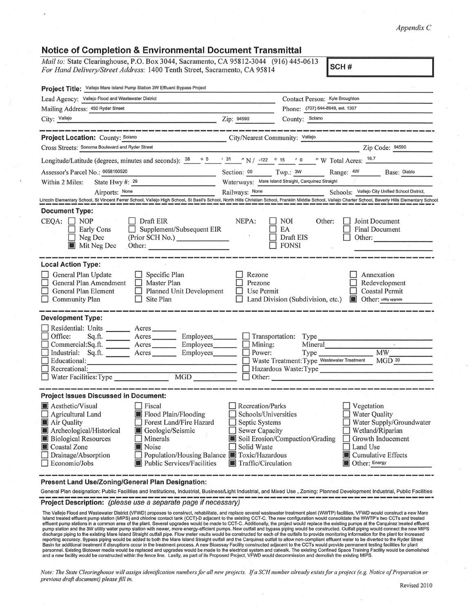## *Appendix* C

## **Notice of Completion & Environmental Document Transmittal**  *Mail to: State Clearinghouse, P.O. Box 3044, Sacramento, CA 95812-3044* (916) 445-0613 For Hand Delivery/Street Address: 1400 Tenth Street, Sacramento, CA 95814 **SCH#**  Project Title: Vallejo Mare Island Pump Station 3W Effluent Bypass Project Lead Agency: Vallejo Flood and Wastewater District Contact Person: Kyle Broughton Contact Person: Kyle Broughton Phone: (707) 644-8949, ext. 1307  $\frac{1}{\text{City:} \frac{1}{\text{Value} \cdot \text{Value}}}$   $\frac{1}{\text{Value} \cdot \text{Value}}$   $\frac{1}{\text{Value} \cdot \text{Value}}$   $\frac{1}{\text{Value} \cdot \text{Value}}$   $\frac{1}{\text{Value} \cdot \text{Value}}$   $\frac{1}{\text{Value} \cdot \text{Value}}$   $\frac{1}{\text{Value} \cdot \text{Value}}$   $\frac{1}{\text{Value} \cdot \text{Value}}$   $\frac{1}{\text{Value} \cdot \text{Value}}$   $\frac{1}{\text{Value} \cdot \text{Value}}$   $\frac{1}{\text{$ **Project Location:** County: Solano \_\_\_\_\_\_\_\_\_\_\_\_\_\_\_\_\_\_\_\_\_\_\_\_\_\_\_\_\_\_City/Nearest Community: Vallejo Cross Streets: Sonoma Boulevard and Ryder Street Zip Code: 94590 Longitude/Latitude (degrees, minutes and seconds):  $\frac{38}{10}$   $\frac{3}{10}$   $\frac{3}{10}$   $\frac{3}{10}$   $\frac{1}{10}$   $\frac{3}{10}$   $\frac{1}{20}$   $\frac{3}{10}$   $\frac{1}{20}$   $\frac{3}{10}$   $\frac{1}{20}$   $\frac{3}{10}$   $\frac{1}{20}$   $\frac{3}{10}$   $\frac{1}{20}$   $\frac{$ 1\_ 6·\_  $7 \quad$

| Assessor's Parcel No.: 0058100520                                                                                                                                                                                                                                                                                                                                                                    | Section: 00 Twp.: 3W<br>Range: 4W<br>Base: Diablo<br>Waterways: Mare Island Straight, Carquinez Straight                                                                                                                                                                                                                                        |
|------------------------------------------------------------------------------------------------------------------------------------------------------------------------------------------------------------------------------------------------------------------------------------------------------------------------------------------------------------------------------------------------------|-------------------------------------------------------------------------------------------------------------------------------------------------------------------------------------------------------------------------------------------------------------------------------------------------------------------------------------------------|
| State Hwy #: 29<br>Within 2 Miles:                                                                                                                                                                                                                                                                                                                                                                   | Schools: Vallejo City Unified School District,                                                                                                                                                                                                                                                                                                  |
| Airports: None                                                                                                                                                                                                                                                                                                                                                                                       | Railways: None<br>Lincoln Elementary School, St Vincent Ferrer School, Vallejo High School, St Basil's School, North Hills Christian School, Franklin Middle School, Vallejo Charter School, Beverly Hills Elementary School                                                                                                                    |
| <b>Document Type:</b><br>$CEQA: \Box NP$<br>Draft EIR                                                                                                                                                                                                                                                                                                                                                | NEPA:<br><b>NOI</b><br>Other:<br>Joint Document                                                                                                                                                                                                                                                                                                 |
| Supplement/Subsequent EIR<br>Early Cons<br>(Prior SCH No.)<br>$\Box$ Neg Dec<br>Mit Neg Dec<br>Other:                                                                                                                                                                                                                                                                                                | EA<br><b>Final Document</b><br>$\sim$ $\sim$<br>Draft EIS<br>Other:<br><b>FONSI</b>                                                                                                                                                                                                                                                             |
| <b>Local Action Type:</b>                                                                                                                                                                                                                                                                                                                                                                            |                                                                                                                                                                                                                                                                                                                                                 |
| General Plan Update<br>$\Box$ Specific Plan<br>General Plan Amendment<br>$\Box$ Master Plan<br>Planned Unit Development<br>General Plan Element<br>$\Box$ Community Plan<br>Site Plan<br>$\Box$                                                                                                                                                                                                      | Rezone<br>Annexation<br>Prezone<br>Redevelopment<br><b>Coastal Permit</b><br>П<br>Use Permit<br>Land Division (Subdivision, etc.)<br><b>In Other:</b> utility upgrade                                                                                                                                                                           |
| <b>Development Type:</b>                                                                                                                                                                                                                                                                                                                                                                             |                                                                                                                                                                                                                                                                                                                                                 |
| Residential: Units _______ Acres ______<br>Sq.ft. __________ Acres ___________ Employees________<br>Office:<br>Commercial:Sq.ft. Acres Employees<br>Industrial: Sq.ft. Acres<br>Employees________<br>Educational:<br>$\Box$ Recreational:<br>□ Recreational:<br>□ Water Facilities: Type MGD                                                                                                         | Transportation: Type<br>Mineral<br>Mining: Mineral<br>Power: Type Wastewater Treatment MW Waste Treatment: Type Wastewater Treatment MGD 30<br>Hazardous Waste:Type<br>Other:                                                                                                                                                                   |
| <b>Project Issues Discussed in Document:</b>                                                                                                                                                                                                                                                                                                                                                         |                                                                                                                                                                                                                                                                                                                                                 |
| Aesthetic/Visual<br>$\Box$ Fiscal<br>Flood Plain/Flooding<br>$\Box$ Agricultural Land<br>Air Quality<br>Forest Land/Fire Hazard<br>ΙI<br>Archeological/Historical<br>Geologic/Seismic<br><b>Biological Resources</b><br>Minerals<br>Coastal Zone<br>Noise<br>$\Box$ Drainage/Absorption<br>Population/Housing Balance <b>T</b> Toxic/Hazardous<br>$\Box$ Economic/Jobs<br>Public Services/Facilities | Recreation/Parks<br>Vegetation<br>Schools/Universities<br><b>Water Quality</b><br>Water Supply/Groundwater<br>Septic Systems<br><b>Sewer Capacity</b><br>Wetland/Riparian<br>Soil Erosion/Compaction/Grading<br>Growth Inducement<br>Solid Waste<br>Land Use<br>$\blacksquare$ Cumulative Effects<br>Traffic/Circulation<br>Other: Energy<br>IШ |

**Present Land Use/Zoning/General Plan Designation:** 

General Plan designation: Public Facilities and Institutions, Industrial, Business/Light Industrial, and Mixed Use, Zoning: Planned Development Industrial, Public Facilities<br> **Project Description:** (please use a separate p

The Vallejo Flood and Wastewater District (VFWD) proposes to construct, rehabilitate, and replace several wastewater treatment plant (WWTP) facilities. VFWD would construct a new Mare<br>Island treated effluent pump station ( pump station and the 3W utility water pump station with newer, more energy-efficient pumps. New outfall and bypass piping would be constructed. Outfall piping would connect the new MIPS<br>discharge piping to the existing Mar Basin for additional treatment if disruptions occur in the treatment process. A new Bioassay Facility constructed adjacent to the CCTs would provide permanent testing facilities for plant<br>personnel. Existing Biotower media

*Note: The State Clearinghouse will assign identification numbers for all new projects. If a SCH number already exists for a project (e.g. Notice of Preparation or previous draft document) please fill in.*